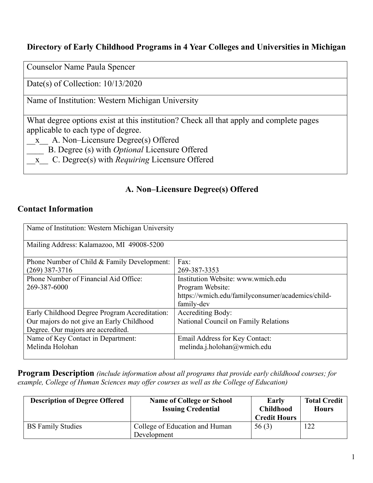#### **Directory of Early Childhood Programs in 4 Year Colleges and Universities in Michigan**

Counselor Name Paula Spencer

Date(s) of Collection: 10/13/2020

Name of Institution: Western Michigan University

What degree options exist at this institution? Check all that apply and complete pages applicable to each type of degree.

\_\_x\_\_ A. Non–Licensure Degree(s) Offered

\_\_\_\_ B. Degree (s) with *Optional* Licensure Offered

\_\_x\_\_ C. Degree(s) with *Requiring* Licensure Offered

### **A. Non–Licensure Degree(s) Offered**

#### **Contact Information**

| Name of Institution: Western Michigan University |                                                   |
|--------------------------------------------------|---------------------------------------------------|
| Mailing Address: Kalamazoo, MI 49008-5200        |                                                   |
| Phone Number of Child & Family Development:      | Fax:                                              |
| $(269)$ 387-3716                                 | 269-387-3353                                      |
| Phone Number of Financial Aid Office:            | Institution Website: www.wmich.edu                |
| 269-387-6000                                     | Program Website:                                  |
|                                                  | https://wmich.edu/familyconsumer/academics/child- |
|                                                  | family-dev                                        |
| Early Childhood Degree Program Accreditation:    | <b>Accrediting Body:</b>                          |
| Our majors do not give an Early Childhood        | National Council on Family Relations              |
| Degree. Our majors are accredited.               |                                                   |
| Name of Key Contact in Department:               | Email Address for Key Contact:                    |
| Melinda Holohan                                  | melinda.j.holohan@wmich.edu                       |
|                                                  |                                                   |

**Program Description** *(include information about all programs that provide early childhood courses; for example, College of Human Sciences may offer courses as well as the College of Education)*

| <b>Description of Degree Offered</b> | <b>Name of College or School</b><br><b>Issuing Credential</b> | Early<br><b>Childhood</b><br><b>Credit Hours</b> | <b>Total Credit</b><br><b>Hours</b> |
|--------------------------------------|---------------------------------------------------------------|--------------------------------------------------|-------------------------------------|
| <b>BS Family Studies</b>             | College of Education and Human<br>Development                 | 56(3)                                            | 122                                 |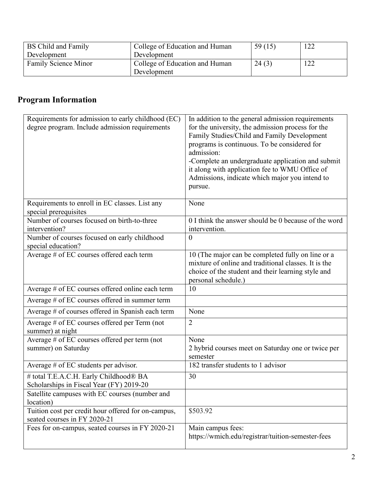| BS Child and Family  | College of Education and Human | 59(15) | 122 |
|----------------------|--------------------------------|--------|-----|
| Development          | Development                    |        |     |
| Family Science Minor | College of Education and Human | 24(3)  | 122 |
|                      | Development                    |        |     |

# **Program Information**

| Requirements for admission to early childhood (EC)                 | In addition to the general admission requirements                                                |
|--------------------------------------------------------------------|--------------------------------------------------------------------------------------------------|
| degree program. Include admission requirements                     | for the university, the admission process for the<br>Family Studies/Child and Family Development |
|                                                                    | programs is continuous. To be considered for                                                     |
|                                                                    | admission:                                                                                       |
|                                                                    | -Complete an undergraduate application and submit                                                |
|                                                                    | it along with application fee to WMU Office of                                                   |
|                                                                    | Admissions, indicate which major you intend to                                                   |
|                                                                    | pursue.                                                                                          |
| Requirements to enroll in EC classes. List any                     | None                                                                                             |
| special prerequisites                                              |                                                                                                  |
| Number of courses focused on birth-to-three                        | 0 I think the answer should be 0 because of the word                                             |
| intervention?                                                      | intervention.                                                                                    |
| Number of courses focused on early childhood<br>special education? | $\boldsymbol{0}$                                                                                 |
| Average # of EC courses offered each term                          | 10 (The major can be completed fully on line or a                                                |
|                                                                    | mixture of online and traditional classes. It is the                                             |
|                                                                    | choice of the student and their learning style and                                               |
|                                                                    | personal schedule.)                                                                              |
| Average # of EC courses offered online each term                   | 10                                                                                               |
| Average # of EC courses offered in summer term                     |                                                                                                  |
| Average # of courses offered in Spanish each term                  | None                                                                                             |
| Average # of EC courses offered per Term (not                      | $\overline{2}$                                                                                   |
| summer) at night                                                   |                                                                                                  |
| Average # of EC courses offered per term (not                      | None                                                                                             |
| summer) on Saturday                                                | 2 hybrid courses meet on Saturday one or twice per<br>semester                                   |
| Average $#$ of EC students per advisor.                            | 182 transfer students to 1 advisor                                                               |
| # total T.E.A.C.H. Early Childhood® BA                             | 30                                                                                               |
| Scholarships in Fiscal Year (FY) 2019-20                           |                                                                                                  |
| Satellite campuses with EC courses (number and                     |                                                                                                  |
| location)                                                          |                                                                                                  |
| Tuition cost per credit hour offered for on-campus,                | \$503.92                                                                                         |
| seated courses in FY 2020-21                                       |                                                                                                  |
| Fees for on-campus, seated courses in FY 2020-21                   | Main campus fees:                                                                                |
|                                                                    | https://wmich.edu/registrar/tuition-semester-fees                                                |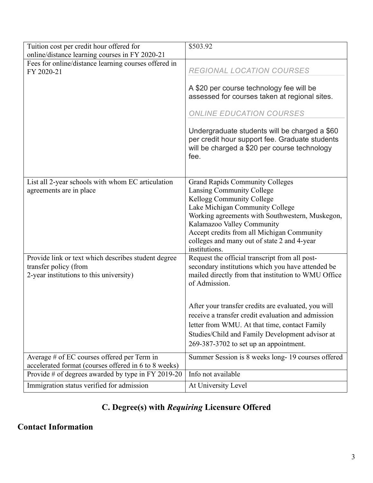| Tuition cost per credit hour offered for<br>online/distance learning courses in FY 2020-21                              | \$503.92                                                                                                                                                                                                                                                  |
|-------------------------------------------------------------------------------------------------------------------------|-----------------------------------------------------------------------------------------------------------------------------------------------------------------------------------------------------------------------------------------------------------|
| Fees for online/distance learning courses offered in<br>FY 2020-21                                                      | REGIONAL LOCATION COURSES                                                                                                                                                                                                                                 |
|                                                                                                                         | A \$20 per course technology fee will be<br>assessed for courses taken at regional sites.                                                                                                                                                                 |
|                                                                                                                         | ONLINE EDUCATION COURSES                                                                                                                                                                                                                                  |
|                                                                                                                         | Undergraduate students will be charged a \$60<br>per credit hour support fee. Graduate students<br>will be charged a \$20 per course technology<br>fee.                                                                                                   |
| List all 2-year schools with whom EC articulation                                                                       | <b>Grand Rapids Community Colleges</b>                                                                                                                                                                                                                    |
| agreements are in place                                                                                                 | Lansing Community College                                                                                                                                                                                                                                 |
|                                                                                                                         | Kellogg Community College<br>Lake Michigan Community College                                                                                                                                                                                              |
|                                                                                                                         | Working agreements with Southwestern, Muskegon,<br>Kalamazoo Valley Community                                                                                                                                                                             |
|                                                                                                                         | Accept credits from all Michigan Community<br>colleges and many out of state 2 and 4-year<br>institutions.                                                                                                                                                |
| Provide link or text which describes student degree<br>transfer policy (from<br>2-year institutions to this university) | Request the official transcript from all post-<br>secondary institutions which you have attended be<br>mailed directly from that institution to WMU Office<br>of Admission.                                                                               |
|                                                                                                                         | After your transfer credits are evaluated, you will<br>receive a transfer credit evaluation and admission<br>letter from WMU. At that time, contact Family<br>Studies/Child and Family Development advisor at<br>$269-387-3702$ to set up an appointment. |
| Average # of EC courses offered per Term in                                                                             | Summer Session is 8 weeks long-19 courses offered                                                                                                                                                                                                         |
| accelerated format (courses offered in 6 to 8 weeks)<br>Provide # of degrees awarded by type in FY 2019-20              | Info not available                                                                                                                                                                                                                                        |
| Immigration status verified for admission                                                                               | At University Level                                                                                                                                                                                                                                       |

# **C. Degree(s) with** *Requiring* **Licensure Offered**

### **Contact Information**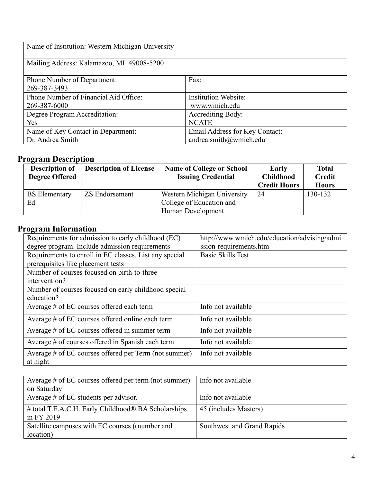| Name of Institution: Western Michigan University      |                                              |  |
|-------------------------------------------------------|----------------------------------------------|--|
| Mailing Address: Kalamazoo, MI 49008-5200             |                                              |  |
| Phone Number of Department:<br>269-387-3493           | Fax:                                         |  |
| Phone Number of Financial Aid Office:<br>269-387-6000 | <b>Institution Website:</b><br>www.wmich.edu |  |
| Degree Program Accreditation:                         | <b>Accrediting Body:</b>                     |  |
| Yes                                                   | <b>NCATE</b>                                 |  |
| Name of Key Contact in Department:                    | Email Address for Key Contact:               |  |
| Dr. Andrea Smith                                      | andrea.smith@wmich.edu                       |  |

### **Program Description**

| <b>Description of</b><br><b>Degree Offered</b> | <b>Description of License</b> | <b>Name of College or School</b><br><b>Issuing Credential</b>                | Early<br><b>Childhood</b><br><b>Credit Hours</b> | Total<br><b>Credit</b><br><b>Hours</b> |
|------------------------------------------------|-------------------------------|------------------------------------------------------------------------------|--------------------------------------------------|----------------------------------------|
| <b>BS</b> Elementary<br>Ed                     | ZS Endorsement                | Western Michigan University<br>College of Education and<br>Human Development | -24                                              | 130-132                                |

## **Program Information**

| Requirements for admission to early childhood (EC)                | http://www.wmich.edu/education/advising/admi |
|-------------------------------------------------------------------|----------------------------------------------|
| degree program. Include admission requirements                    | ssion-requirements.htm                       |
| Requirements to enroll in EC classes. List any special            | <b>Basic Skills Test</b>                     |
| prerequisites like placement tests                                |                                              |
| Number of courses focused on birth-to-three                       |                                              |
| intervention?                                                     |                                              |
| Number of courses focused on early childhood special              |                                              |
| education?                                                        |                                              |
| Average # of EC courses offered each term                         | Info not available                           |
| Average # of EC courses offered online each term                  | Info not available                           |
| Average $\#$ of EC courses offered in summer term                 | Info not available                           |
| Average # of courses offered in Spanish each term                 | Info not available                           |
| Average # of EC courses offered per Term (not summer)<br>at night | Info not available                           |

| Average $\#$ of EC courses offered per term (not summer) | Info not available         |
|----------------------------------------------------------|----------------------------|
| on Saturday                                              |                            |
| Average $#$ of EC students per advisor.                  | Info not available         |
| # total T.E.A.C.H. Early Childhood® BA Scholarships      | 45 (includes Masters)      |
| in FY 2019                                               |                            |
| Satellite campuses with EC courses ((number and          | Southwest and Grand Rapids |
| location)                                                |                            |